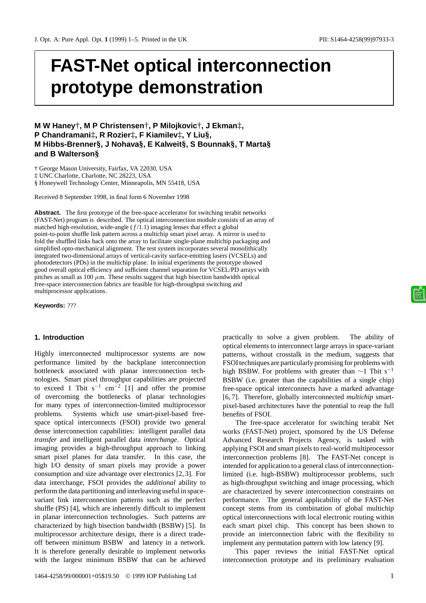# **FAST-Net optical interconnection prototype demonstration**

**M W Haney**†**, M P Christensen**†**, P Milojkovic**†**, J Ekman**‡**, P Chandramani**‡**, R Rozier**‡**, F Kiamilev**‡**, Y Liu§, M Hibbs-Brenner§, J Nohava§, E Kalweit§, S Bounnak§, T Marta§ and B Walterson§**

† George Mason University, Fairfax, VA 22030, USA

‡ UNC Charlotte, Charlotte, NC 28223, USA

§ Honeywell Technology Center, Minneapolis, MN 55418, USA

Received 8 September 1998, in final form 6 November 1998

Abstract. The first prototype of the free-space accelerator for switching terabit networks (FAST-Net) program is described. The optical interconnection module consists of an array of matched high-resolution, wide-angle  $(f/1.1)$  imaging lenses that effect a global point-to-point shuffle link pattern across a multichip smart pixel array. A mirror is used to fold the shuffled links back onto the array to facilitate single-plane multichip packaging and simplified opto-mechanical alignment. The test system incorporates several monolithically integrated two-dimensional arrays of vertical-cavity surface-emitting lasers (VCSELs) and photodetectors (PDs) in the multichip plane. In initial experiments the prototype showed good overall optical efficiency and sufficient channel separation for VCSEL/PD arrays with pitches as small as 100  $\mu$ m. These results suggest that high bisection bandwidth optical free-space interconnection fabrics are feasible for high-throughput switching and multiprocessor applications.

**Keywords:** ???

# **1. Introduction**

Highly interconnected multiprocessor systems are now performance limited by the backplane interconnection bottleneck associated with planar interconnection technologies. Smart pixel throughput capabilities are projected to exceed 1 Tbit  $s^{-1}$  cm<sup>-2</sup> [1] and offer the promise of overcoming the bottlenecks of planar technologies for many types of interconnection-limited multiprocessor problems. Systems which use smart-pixel-based freespace optical interconnects (FSOI) provide two general dense interconnection capabilities: intelligent parallel data *transfer* and intelligent parallel data *interchange*. Optical imaging provides a high-throughput approach to linking smart pixel planes for data transfer. In this case, the high I/O density of smart pixels may provide a power consumption and size advantage over electronics [2, 3]. For data interchange, FSOI provides the *additional* ability to perform the data partitioning and interleaving useful in spacevariant link interconnection patterns such as the perfect shuffle (PS) [4], which are inherently difficult to implement in planar interconnection technologies. Such patterns are characterized by high bisection bandwidth (BSBW) [5]. In multiprocessor architecture design, there is a direct tradeoff between minimum BSBW and latency in a network. It is therefore generally desirable to implement networks with the largest minimum BSBW that can be achieved

practically to solve a given problem. The ability of optical elements to interconnect large arrays in space-variant patterns, without crosstalk in the medium, suggests that FSOI techniques are particularly promising for problems with high BSBW. For problems with greater than  $\sim$ 1 Tbit s<sup>-1</sup> BSBW (i.e. greater than the capabilities of a single chip) free-space optical interconnects have a marked advantage [6, 7]. Therefore, globally interconnected *multichip* smartpixel-based architectures have the potential to reap the full benefits of FSOI.

The free-space accelerator for switching terabit Net works (FAST-Net) project, sponsored by the US Defense Advanced Research Projects Agency, is tasked with applying FSOI and smart pixels to real-world multiprocessor interconnection problems [8]. The FAST-Net concept is intended for application to a general class of interconnectionlimited (i.e. high-BSBW) multiprocessor problems, such as high-throughput switching and image processing, which are characterized by severe interconnection constraints on performance. The general applicability of the FAST-Net concept stems from its combination of global multichip optical interconnections with local electronic routing within each smart pixel chip. This concept has been shown to provide an interconnection fabric with the flexibility to implement any permutation pattern with low latency [9].

This paper reviews the initial FAST-Net optical interconnection prototype and its preliminary evaluation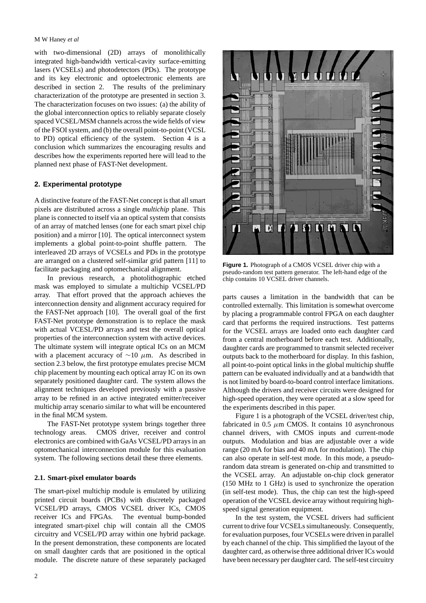## M W Haney *et al*

with two-dimensional (2D) arrays of monolithically integrated high-bandwidth vertical-cavity surface-emitting lasers (VCSELs) and photodetectors (PDs). The prototype and its key electronic and optoelectronic elements are described in section 2. The results of the preliminary characterization of the prototype are presented in section 3. The characterization focuses on two issues: (a) the ability of the global interconnection optics to reliably separate closely spaced VCSEL/MSM channels across the wide fields of view of the FSOI system, and (b) the overall point-to-point (VCSL to PD) optical efficiency of the system. Section 4 is a conclusion which summarizes the encouraging results and describes how the experiments reported here will lead to the planned next phase of FAST-Net development.

# **2. Experimental prototype**

A distinctive feature of the FAST-Net concept is that all smart pixels are distributed across a single *multichip* plane. This plane is connected to itself via an optical system that consists of an array of matched lenses (one for each smart pixel chip position) and a mirror [10]. The optical interconnect system implements a global point-to-point shuffle pattern. The interleaved 2D arrays of VCSELs and PDs in the prototype are arranged on a clustered self-similar grid pattern [11] to facilitate packaging and optomechanical alignment.

In previous research, a photolithographic etched mask was employed to simulate a multichip VCSEL/PD array. That effort proved that the approach achieves the interconnection density and alignment accuracy required for the FAST-Net approach [10]. The overall goal of the first FAST-Net prototype demonstration is to replace the mask with actual VCESL/PD arrays and test the overall optical properties of the interconnection system with active devices. The ultimate system will integrate optical ICs on an MCM with a placement accuracy of  $\sim$ 10  $\mu$ m. As described in section 2.3 below, the first prototype emulates precise MCM chip placement by mounting each optical array IC on its own separately positioned daughter card. The system allows the alignment techniques developed previously with a passive array to be refined in an active integrated emitter/receiver multichip array scenario similar to what will be encountered in the final MCM system.

The FAST-Net prototype system brings together three technology areas. CMOS driver, receiver and control electronics are combined with GaAs VCSEL/PD arrays in an optomechanical interconnection module for this evaluation system. The following sections detail these three elements.

## **2.1. Smart-pixel emulator boards**

The smart-pixel multichip module is emulated by utilizing printed circuit boards (PCBs) with discretely packaged VCSEL/PD arrays, CMOS VCSEL driver ICs, CMOS receiver ICs and FPGAs. The eventual bump-bonded integrated smart-pixel chip will contain all the CMOS circuitry and VCSEL/PD array within one hybrid package. In the present demonstration, these components are located on small daughter cards that are positioned in the optical module. The discrete nature of these separately packaged



**Figure 1.** Photograph of a CMOS VCSEL driver chip with a pseudo-random test pattern generator. The left-hand edge of the chip contains 10 VCSEL driver channels.

parts causes a limitation in the bandwidth that can be controlled externally. This limitation is somewhat overcome by placing a programmable control FPGA on each daughter card that performs the required instructions. Test patterns for the VCSEL arrays are loaded onto each daughter card from a central motherboard before each test. Additionally, daughter cards are programmed to transmit selected receiver outputs back to the motherboard for display. In this fashion, all point-to-point optical links in the global multichip shuffle pattern can be evaluated individually and at a bandwidth that is not limited by board-to-board control interface limitations. Although the drivers and receiver circuits were designed for high-speed operation, they were operated at a slow speed for the experiments described in this paper.

Figure 1 is a photograph of the VCSEL driver/test chip, fabricated in 0.5  $\mu$ m CMOS. It contains 10 asynchronous channel drivers, with CMOS inputs and current-mode outputs. Modulation and bias are adjustable over a wide range (20 mA for bias and 40 mA for modulation). The chip can also operate in self-test mode. In this mode, a pseudorandom data stream is generated on-chip and transmitted to the VCSEL array. An adjustable on-chip clock generator (150 MHz to 1 GHz) is used to synchronize the operation (in self-test mode). Thus, the chip can test the high-speed operation of the VCSEL device array without requiring highspeed signal generation equipment.

In the test system, the VCSEL drivers had sufficient current to drive four VCSELs simultaneously. Consequently, for evaluation purposes, four VCSELs were driven in parallel by each channel of the chip. This simplified the layout of the daughter card, as otherwise three additional driver ICs would have been necessary per daughter card. The self-test circuitry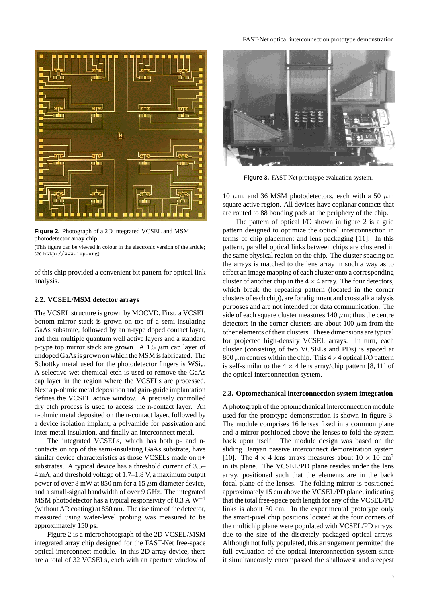

**Figure 2.** Photograph of a 2D integrated VCSEL and MSM photodetector array chip.

(This figure can be viewed in colour in the electronic version of the article; see http://www.iop.org)

of this chip provided a convenient bit pattern for optical link analysis.

## **2.2. VCSEL/MSM detector arrays**

The VCSEL structure is grown by MOCVD. First, a VCSEL bottom mirror stack is grown on top of a semi-insulating GaAs substrate, followed by an n-type doped contact layer, and then multiple quantum well active layers and a standard p-type top mirror stack are grown. A 1.5  $\mu$ m cap layer of undoped GaAs is grown on which the MSM is fabricated. The Schottky metal used for the photodetector fingers is  $WSi<sub>x</sub>$ . A selective wet chemical etch is used to remove the GaAs cap layer in the region where the VCSELs are processed. Next a p-ohmic metal deposition and gain-guide implantation defines the VCSEL active window. A precisely controlled dry etch process is used to access the n-contact layer. An n-ohmic metal deposited on the n-contact layer, followed by a device isolation implant, a polyamide for passivation and inter-metal insulation, and finally an interconnect metal.

The integrated VCSELs, which has both p- and ncontacts on top of the semi-insulating GaAs substrate, have similar device characteristics as those VCSELs made on n+ substrates. A typical device has a threshold current of 3.5– 4 mA, and threshold voltage of 1.7–1.8 V, a maximum output power of over 8 mW at 850 nm for a 15  $\mu$ m diameter device, and a small-signal bandwidth of over 9 GHz. The integrated MSM photodetector has a typical responsivity of 0.3 A  $W^{-1}$ (without AR coating) at 850 nm. The rise time of the detector, measured using wafer-level probing was measured to be approximately 150 ps.

Figure 2 is a microphotograph of the 2D VCSEL/MSM integrated array chip designed for the FAST-Net free-space optical interconnect module. In this 2D array device, there are a total of 32 VCSELs, each with an aperture window of



**Figure 3.** FAST-Net prototype evaluation system.

10  $\mu$ m, and 36 MSM photodetectors, each with a 50  $\mu$ m square active region. All devices have coplanar contacts that are routed to 88 bonding pads at the periphery of the chip.

The pattern of optical I/O shown in figure 2 is a grid pattern designed to optimize the optical interconnection in terms of chip placement and lens packaging [11]. In this pattern, parallel optical links between chips are clustered in the same physical region on the chip. The cluster spacing on the arrays is matched to the lens array in such a way as to effect an image mapping of each cluster onto a corresponding cluster of another chip in the  $4 \times 4$  array. The four detectors, which break the repeating pattern (located in the corner clusters of each chip), are for alignment and crosstalk analysis purposes and are not intended for data communication. The side of each square cluster measures  $140 \mu m$ ; thus the centre detectors in the corner clusters are about 100  $\mu$ m from the other elements of their clusters. These dimensions are typical for projected high-density VCSEL arrays. In turn, each cluster (consisting of two VCSELs and PDs) is spaced at 800  $\mu$ m centres within the chip. This  $4 \times 4$  optical I/O pattern is self-similar to the  $4 \times 4$  lens array/chip pattern [8, 11] of the optical interconnection system.

#### **2.3. Optomechanical interconnection system integration**

A photograph of the optomechanical interconnection module used for the prototype demonstration is shown in figure 3. The module comprises 16 lenses fixed in a common plane and a mirror positioned above the lenses to fold the system back upon itself. The module design was based on the sliding Banyan passive interconnect demonstration system [10]. The 4  $\times$  4 lens arrays measures about 10  $\times$  10 cm<sup>2</sup> in its plane. The VCSEL/PD plane resides under the lens array, positioned such that the elements are in the back focal plane of the lenses. The folding mirror is positioned approximately 15 cm above the VCSEL/PD plane, indicating that the total free-space path length for any of the VCSEL/PD links is about 30 cm. In the experimental prototype only the smart-pixel chip positions located at the four corners of the multichip plane were populated with VCSEL/PD arrays, due to the size of the discretely packaged optical arrays. Although not fully populated, this arrangement permitted the full evaluation of the optical interconnection system since it simultaneously encompassed the shallowest and steepest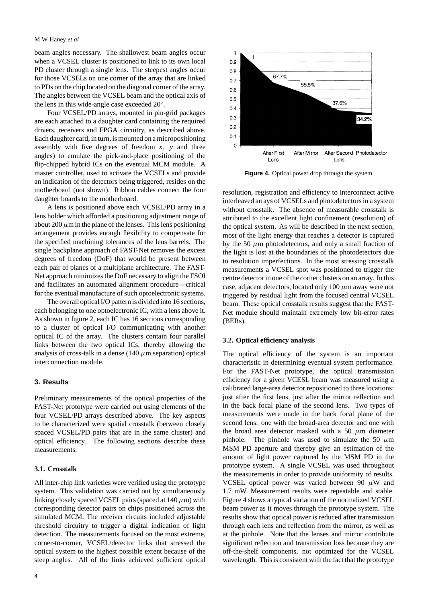#### M W Haney *et al*

beam angles necessary. The shallowest beam angles occur when a VCSEL cluster is positioned to link to its own local PD cluster through a single lens. The steepest angles occur for those VCSELs on one corner of the array that are linked to PDs on the chip located on the diagonal corner of the array. The angles between the VCSEL beam and the optical axis of the lens in this wide-angle case exceeded 20◦.

Four VCSEL/PD arrays, mounted in pin-grid packages are each attached to a daughter card containing the required drivers, receivers and FPGA circuitry, as described above. Each daughter card, in turn, is mounted on a micropositioning assembly with five degrees of freedom *x*, *y* and three angles) to emulate the pick-and-place positioning of the flip-chipped hybrid ICs on the eventual MCM module. A master controller, used to activate the VCSELs and provide an indication of the detectors being triggered, resides on the motherboard (not shown). Ribbon cables connect the four daughter boards to the motherboard.

A lens is positioned above each VCSEL/PD array in a lens holder which afforded a positioning adjustment range of about 200  $\mu$ m in the plane of the lenses. This lens positioning arrangement provides enough flexibility to compensate for the specified machining tolerances of the lens barrels. The single backplane approach of FAST-Net removes the excess degrees of freedom (DoF) that would be present between each pair of planes of a multiplane architecture. The FAST-Net approach minimizes the DoF necessary to align the FSOI and facilitates an automated alignment procedure—critical for the eventual manufacture of such optoelectronic systems.

The overall optical I/O pattern is divided into 16 sections, each belonging to one optoelectronic IC, with a lens above it. As shown in figure 2, each IC has 16 sections corresponding to a cluster of optical I/O communicating with another optical IC of the array. The clusters contain four parallel links between the two optical ICs, thereby allowing the analysis of cross-talk in a dense (140  $\mu$ m separation) optical interconnection module.

# **3. Results**

Preliminary measurements of the optical properties of the FAST-Net prototype were carried out using elements of the four VCSEL/PD arrays described above. The key aspects to be characterized were spatial crosstalk (between closely spaced VCSEL/PD pairs that are in the same cluster) and optical efficiency. The following sections describe these measurements.

# **3.1. Crosstalk**

All inter-chip link varieties were verified using the prototype system. This validation was carried out by simultaneously linking closely spaced VCSEL pairs (spaced at  $140 \mu m$ ) with corresponding detector pairs on chips positioned across the simulated MCM. The receiver circuits included adjustable threshold circuitry to trigger a digital indication of light detection. The measurements focused on the most extreme, corner-to-corner, VCSEL/detector links that stressed the optical system to the highest possible extent because of the steep angles. All of the links achieved sufficient optical



**Figure 4.** Optical power drop through the system

resolution, registration and efficiency to interconnect active interleaved arrays of VCSELs and photodetectors in a system without crosstalk. The absence of measurable crosstalk is attributed to the excellent light confinement (resolution) of the optical system. As will be described in the next section, most of the light energy that reaches a detector is captured by the 50  $\mu$ m photodetectors, and only a small fraction of the light is lost at the boundaries of the photodetectors due to resolution imperfections. In the most stressing crosstalk measurements a VCSEL spot was positioned to trigger the centre detector in one of the corner clusters on an array. In this case, adjacent detectors, located only  $100 \mu m$  away were not triggered by residual light from the focused central VCSEL beam. These optical crosstalk results suggest that the FAST-Net module should maintain extremely low bit-error rates (BERs).

## **3.2. Optical efficiency analysis**

The optical efficiency of the system is an important characteristic in determining eventual system performance. For the FAST-Net prototype, the optical transmission efficiency for a given VCESL beam was measured using a calibrated large-area detector repositioned to three locations: just after the first lens, just after the mirror reflection and in the back focal plane of the second lens. Two types of measurements were made in the back focal plane of the second lens: one with the broad-area detector and one with the broad area detector masked with a 50  $\mu$ m diameter pinhole. The pinhole was used to simulate the 50  $\mu$ m MSM PD aperture and thereby give an estimation of the amount of light power captured by the MSM PD in the prototype system. A single VCSEL was used throughout the measurements in order to provide uniformity of results. VCSEL optical power was varied between 90  $\mu$ W and 1.7 mW. Measurement results were repeatable and stable. Figure 4 shows a typical variation of the normalized VCSEL beam power as it moves through the prototype system. The results show that optical power is reduced after transmission through each lens and reflection from the mirror, as well as at the pinhole. Note that the lenses and mirror contribute significant reflection and transmission loss because they are off-the-shelf components, not optimized for the VCSEL wavelength. This is consistent with the fact that the prototype